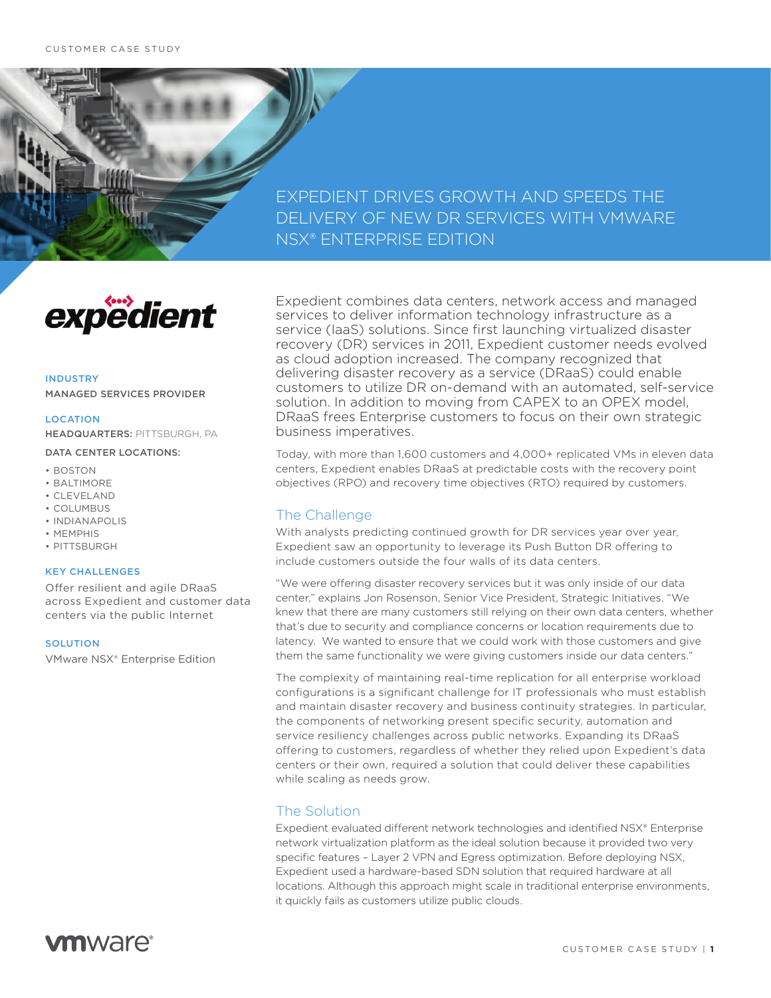## EXPEDIENT DRIVES GROWTH AND SPEEDS THE DELIVERY OF NEW DR SERVICES WITH VMWARE NSX® ENTERPRISE EDITION



## INDUSTRY MANAGED SERVICES PROVIDER

#### LOCATION

HEADQUARTERS: PITTSBURGH, PA

#### DATA CENTER LOCATIONS:

- BOSTON
- BALTIMORE
- CLEVELAND
- COLUMBUS
- INDIANAPOLIS
- MEMPHIS
- PITTSBURGH

### KEY CHALLENGES

Offer resilient and agile DRaaS across Expedient and customer data centers via the public Internet

## SOLUTION

VMware NSX® Enterprise Edition

Expedient combines data centers, network access and managed services to deliver information technology infrastructure as a service (IaaS) solutions. Since first launching virtualized disaster recovery (DR) services in 2011, Expedient customer needs evolved as cloud adoption increased. The company recognized that delivering disaster recovery as a service (DRaaS) could enable customers to utilize DR on-demand with an automated, self-service solution. In addition to moving from CAPEX to an OPEX model, DRaaS frees Enterprise customers to focus on their own strategic business imperatives.

Today, with more than 1,600 customers and 4,000+ replicated VMs in eleven data centers, Expedient enables DRaaS at predictable costs with the recovery point objectives (RPO) and recovery time objectives (RTO) required by customers.

## The Challenge

With analysts predicting continued growth for DR services year over year, Expedient saw an opportunity to leverage its Push Button DR offering to include customers outside the four walls of its data centers.

"We were offering disaster recovery services but it was only inside of our data center," explains Jon Rosenson, Senior Vice President, Strategic Initiatives. "We knew that there are many customers still relying on their own data centers, whether that's due to security and compliance concerns or location requirements due to latency. We wanted to ensure that we could work with those customers and give them the same functionality we were giving customers inside our data centers."

The complexity of maintaining real-time replication for all enterprise workload configurations is a significant challenge for IT professionals who must establish and maintain disaster recovery and business continuity strategies. In particular, the components of networking present specific security, automation and service resiliency challenges across public networks. Expanding its DRaaS offering to customers, regardless of whether they relied upon Expedient's data centers or their own, required a solution that could deliver these capabilities while scaling as needs grow.

## The Solution

Expedient evaluated different network technologies and identified NSX® Enterprise network virtualization platform as the ideal solution because it provided two very specific features – Layer 2 VPN and Egress optimization. Before deploying NSX, Expedient used a hardware-based SDN solution that required hardware at all locations. Although this approach might scale in traditional enterprise environments, it quickly fails as customers utilize public clouds.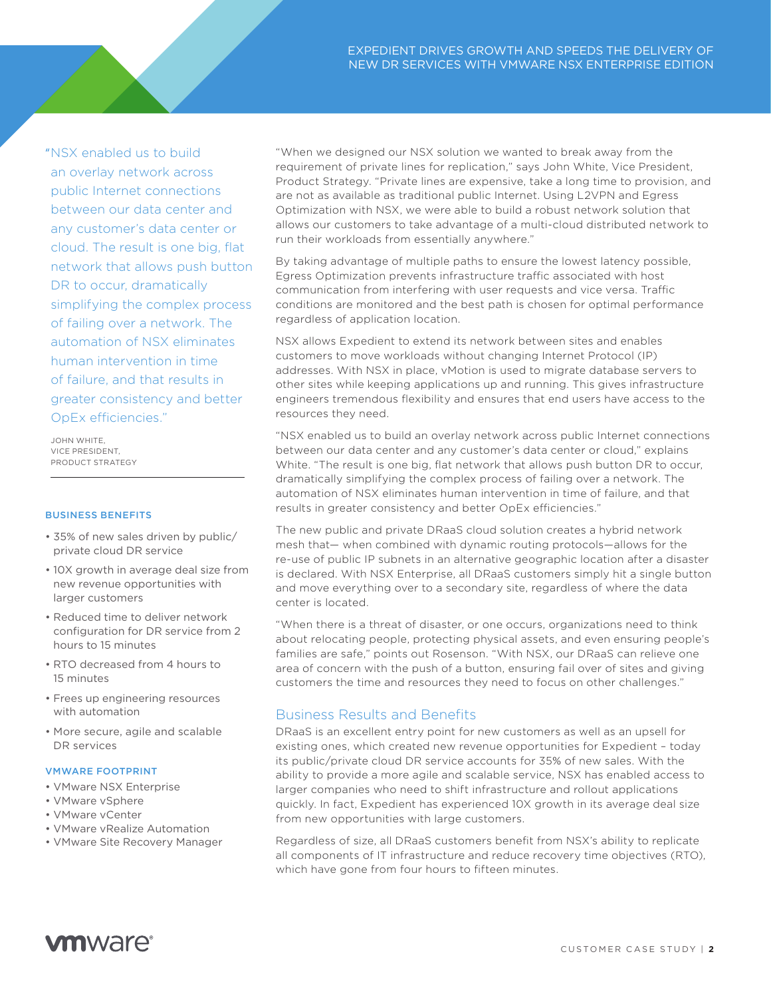"NSX enabled us to build an overlay network across public Internet connections between our data center and any customer's data center or cloud. The result is one big, flat network that allows push button DR to occur, dramatically simplifying the complex process of failing over a network. The automation of NSX eliminates human intervention in time of failure, and that results in greater consistency and better OpEx efficiencies."

JOHN WHITE, VICE PRESIDENT, PRODUCT STRATEGY

#### BUSINESS BENEFITS

- 35% of new sales driven by public/ private cloud DR service
- 10X growth in average deal size from new revenue opportunities with larger customers
- Reduced time to deliver network configuration for DR service from 2 hours to 15 minutes
- RTO decreased from 4 hours to 15 minutes
- Frees up engineering resources with automation
- More secure, agile and scalable DR services

#### VMWARE FOOTPRINT

- VMware NSX Enterprise
- VMware vSphere
- VMware vCenter
- VMware vRealize Automation
- VMware Site Recovery Manager

"When we designed our NSX solution we wanted to break away from the requirement of private lines for replication," says John White, Vice President, Product Strategy. "Private lines are expensive, take a long time to provision, and are not as available as traditional public Internet. Using L2VPN and Egress Optimization with NSX, we were able to build a robust network solution that allows our customers to take advantage of a multi-cloud distributed network to run their workloads from essentially anywhere."

By taking advantage of multiple paths to ensure the lowest latency possible, Egress Optimization prevents infrastructure traffic associated with host communication from interfering with user requests and vice versa. Traffic conditions are monitored and the best path is chosen for optimal performance regardless of application location.

NSX allows Expedient to extend its network between sites and enables customers to move workloads without changing Internet Protocol (IP) addresses. With NSX in place, vMotion is used to migrate database servers to other sites while keeping applications up and running. This gives infrastructure engineers tremendous flexibility and ensures that end users have access to the resources they need.

"NSX enabled us to build an overlay network across public Internet connections between our data center and any customer's data center or cloud," explains White. "The result is one big, flat network that allows push button DR to occur, dramatically simplifying the complex process of failing over a network. The automation of NSX eliminates human intervention in time of failure, and that results in greater consistency and better OpEx efficiencies."

The new public and private DRaaS cloud solution creates a hybrid network mesh that— when combined with dynamic routing protocols—allows for the re-use of public IP subnets in an alternative geographic location after a disaster is declared. With NSX Enterprise, all DRaaS customers simply hit a single button and move everything over to a secondary site, regardless of where the data center is located.

"When there is a threat of disaster, or one occurs, organizations need to think about relocating people, protecting physical assets, and even ensuring people's families are safe," points out Rosenson. "With NSX, our DRaaS can relieve one area of concern with the push of a button, ensuring fail over of sites and giving customers the time and resources they need to focus on other challenges."

## Business Results and Benefits

DRaaS is an excellent entry point for new customers as well as an upsell for existing ones, which created new revenue opportunities for Expedient – today its public/private cloud DR service accounts for 35% of new sales. With the ability to provide a more agile and scalable service, NSX has enabled access to larger companies who need to shift infrastructure and rollout applications quickly. In fact, Expedient has experienced 10X growth in its average deal size from new opportunities with large customers.

Regardless of size, all DRaaS customers benefit from NSX's ability to replicate all components of IT infrastructure and reduce recovery time objectives (RTO), which have gone from four hours to fifteen minutes.